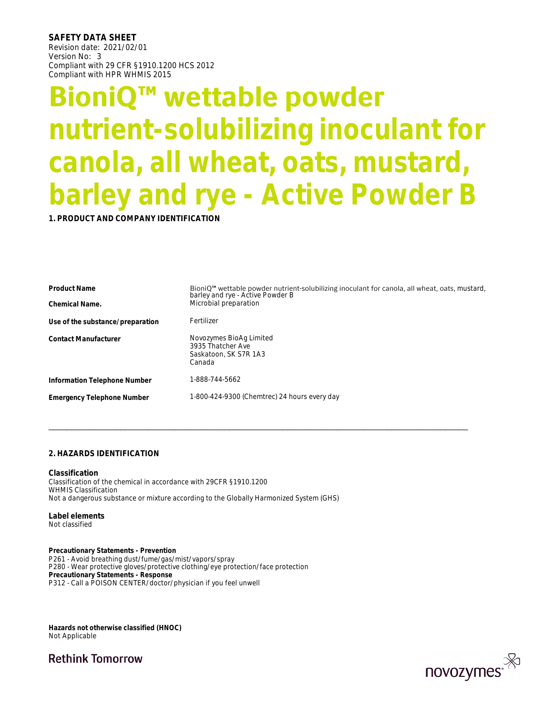**SAFETY DATA SHEET**  Revision date: 2021/02/01 Version No: 3 Compliant with 29 CFR §1910.1200 HCS 2012 Compliant with HPR WHMIS 2015

# **BioniQ™ wettable powder nutrient-solubilizing inoculant for canola, all wheat, oats, mustard, barley and rye - Active Powder B**

**1. PRODUCT AND COMPANY IDENTIFICATION**

| <b>Product Name</b>                                                                  | BioniQ <sup>™</sup> wettable powder nutrient-solubilizing inoculant for canola, all wheat, oats, mustard,<br>barley and rye - Active Powder B |
|--------------------------------------------------------------------------------------|-----------------------------------------------------------------------------------------------------------------------------------------------|
| Chemical Name.                                                                       | Microbial preparation                                                                                                                         |
| Use of the substance/preparation                                                     | Fertilizer                                                                                                                                    |
| <b>Contact Manufacturer</b>                                                          | Novozymes BioAg Limited<br>3935 Thatcher Ave<br>Saskatoon, SK S7R 1A3<br>Canada                                                               |
| Information Telephone Number                                                         | 1-888-744-5662                                                                                                                                |
| <b>Emergency Telephone Number</b>                                                    | 1-800-424-9300 (Chemtrec) 24 hours every day                                                                                                  |
| 2. HAZARDS IDENTIFICATION                                                            |                                                                                                                                               |
| Classification<br>Classification of the chemical in accordance with 29CFR §1910.1200 |                                                                                                                                               |

**Classification** Classification of the chemical in accordance with 29CFR §1910.1200 WHMIS Classification Not a dangerous substance or mixture according to the Globally Harmonized System (GHS)

**Label elements**  Not classified

**Precautionary Statements - Prevention** P261 - Avoid breathing dust/fume/gas/mist/vapors/spray P280 - Wear protective gloves/protective clothing/eye protection/face protection **Precautionary Statements - Response** P312 - Call a POISON CENTER/doctor/physician if you feel unwell

**Hazards not otherwise classified (HNOC)**  Not Applicable

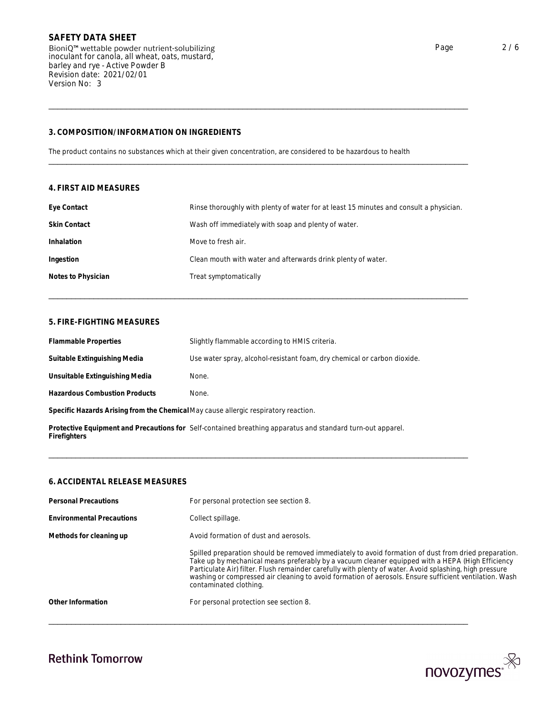| barley and rye - Active Powder B<br>Revision date: 2021/02/01<br>Version No: 3 |                                                                                                                 |
|--------------------------------------------------------------------------------|-----------------------------------------------------------------------------------------------------------------|
| 3. COMPOSITION/INFORMATION ON INGREDIENTS                                      |                                                                                                                 |
|                                                                                | The product contains no substances which at their given concentration, are considered to be hazardous to health |
| 4. FIRST AID MEASURES                                                          |                                                                                                                 |
| Eye Contact                                                                    | Rinse thoroughly with plenty of water for at least 15 minutes and consult a physician.                          |
| <b>Skin Contact</b>                                                            | Wash off immediately with soap and plenty of water.                                                             |
| Inhalation                                                                     | Move to fresh air.                                                                                              |
| Ingestion                                                                      | Clean mouth with water and afterwards drink plenty of water.                                                    |
| Notes to Physician                                                             | Treat symptomatically                                                                                           |
| 5. FIRE-FIGHTING MEASURES                                                      |                                                                                                                 |
| <b>Flammable Properties</b>                                                    | Slightly flammable according to HMIS criteria.                                                                  |
|                                                                                |                                                                                                                 |

| <b>Flammable Properties</b>                                                                                                | Slightly flammable according to HMIS criteria.                           |  |
|----------------------------------------------------------------------------------------------------------------------------|--------------------------------------------------------------------------|--|
| Suitable Extinguishing Media                                                                                               | Use water spray, alcohol-resistant foam, dry chemical or carbon dioxide. |  |
| Unsuitable Extinguishing Media                                                                                             | None.                                                                    |  |
| <b>Hazardous Combustion Products</b>                                                                                       | None.                                                                    |  |
| Specific Hazards Arising from the Chemical May cause allergic respiratory reaction.                                        |                                                                          |  |
| Protective Equipment and Precautions for Self-contained breathing apparatus and standard turn-out apparel.<br>Firefighters |                                                                          |  |
|                                                                                                                            |                                                                          |  |
| 6. ACCIDENTAL RELEASE MEASURES                                                                                             |                                                                          |  |
| <b>Personal Precautions</b>                                                                                                | For personal protection see section 8.                                   |  |
|                                                                                                                            |                                                                          |  |

| <b>Personal Precautions</b>      | For personal protection see section 8.                                                                                                                                                                                                                                                                                                                                                                                                                  |
|----------------------------------|---------------------------------------------------------------------------------------------------------------------------------------------------------------------------------------------------------------------------------------------------------------------------------------------------------------------------------------------------------------------------------------------------------------------------------------------------------|
| <b>Environmental Precautions</b> | Collect spillage.                                                                                                                                                                                                                                                                                                                                                                                                                                       |
| Methods for cleaning up          | Avoid formation of dust and aerosols.                                                                                                                                                                                                                                                                                                                                                                                                                   |
|                                  | Spilled preparation should be removed immediately to avoid formation of dust from dried preparation.<br>Take up by mechanical means preferably by a vacuum cleaner equipped with a HEPA (High Efficiency<br>Particulate Air) filter. Flush remainder carefully with plenty of water. Avoid splashing, high pressure<br>washing or compressed air cleaning to avoid formation of aerosols. Ensure sufficient ventilation. Wash<br>contaminated clothing. |
| Other Information                | For personal protection see section 8.                                                                                                                                                                                                                                                                                                                                                                                                                  |

\_\_\_\_\_\_\_\_\_\_\_\_\_\_\_\_\_\_\_\_\_\_\_\_\_\_\_\_\_\_\_\_\_\_\_\_\_\_\_\_\_\_\_\_\_\_\_\_\_\_\_\_\_\_\_\_\_\_\_\_\_\_\_\_\_\_\_\_\_\_\_\_\_\_\_\_\_\_\_\_\_\_\_\_\_\_\_\_\_\_\_\_\_



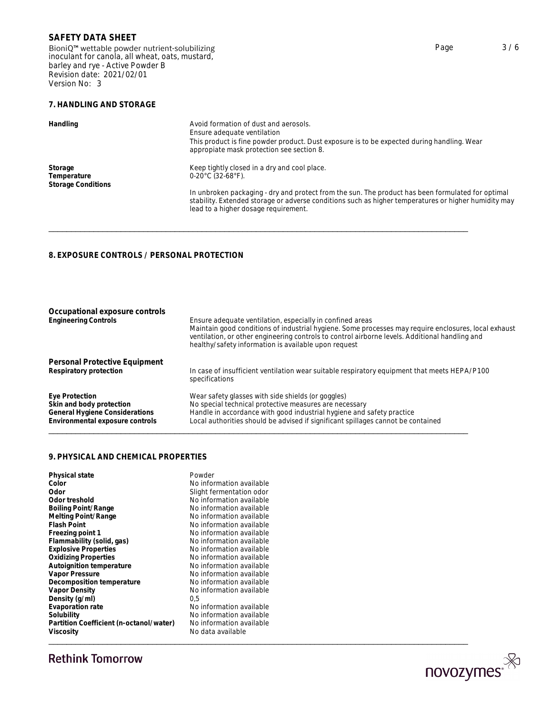BioniQ™ wettable powder nutrient-solubilizing inoculant for canola, all wheat, oats, mustard, barley and rye - Active Powder B Revision date: 2021/02/01 Version No: 3

## **7. HANDLING AND STORAGE**

| Handling                                            | Avoid formation of dust and aerosols.<br>Ensure adequate ventilation<br>This product is fine powder product. Dust exposure is to be expected during handling. Wear<br>appropiate mask protection see section 8.                                                                                     |
|-----------------------------------------------------|-----------------------------------------------------------------------------------------------------------------------------------------------------------------------------------------------------------------------------------------------------------------------------------------------------|
| Storage<br>Temperature<br><b>Storage Conditions</b> | Keep tightly closed in a dry and cool place.<br>$0-20^{\circ}$ C (32-68 $^{\circ}$ F).<br>In unbroken packaging - dry and protect from the sun. The product has been formulated for optimal<br>stability. Extended storage or adverse conditions such as higher temperatures or higher humidity may |
|                                                     | lead to a higher dosage requirement.                                                                                                                                                                                                                                                                |
| 8. EXPOSURE CONTROLS / PERSONAL PROTECTION          |                                                                                                                                                                                                                                                                                                     |

| Occupational exposure controls<br><b>Engineering Controls</b> | Ensure adequate ventilation, especially in confined areas<br>Maintain good conditions of industrial hygiene. Some processes may require enclosures, local exhaust<br>ventilation, or other engineering controls to control airborne levels. Additional handling and<br>healthy/safety information is available upon request |
|---------------------------------------------------------------|-----------------------------------------------------------------------------------------------------------------------------------------------------------------------------------------------------------------------------------------------------------------------------------------------------------------------------|
| Personal Protective Equipment                                 | In case of insufficient ventilation wear suitable respiratory equipment that meets HEPA/P100                                                                                                                                                                                                                                |
| Respiratory protection                                        | specifications                                                                                                                                                                                                                                                                                                              |
| Eye Protection                                                | Wear safety glasses with side shields (or goggles)                                                                                                                                                                                                                                                                          |
| Skin and body protection                                      | No special technical protective measures are necessary                                                                                                                                                                                                                                                                      |
| General Hygiene Considerations                                | Handle in accordance with good industrial hygiene and safety practice                                                                                                                                                                                                                                                       |
| Environmental exposure controls                               | Local authorities should be advised if significant spillages cannot be contained                                                                                                                                                                                                                                            |
| 9. PHYSICAL AND CHEMICAL PROPERTIES                           |                                                                                                                                                                                                                                                                                                                             |
| Physical state                                                | Powder                                                                                                                                                                                                                                                                                                                      |
| Color                                                         | No information available                                                                                                                                                                                                                                                                                                    |
| $\bigcap$ dor                                                 | Clight formentation ador                                                                                                                                                                                                                                                                                                    |

|                                         | Powder                   |
|-----------------------------------------|--------------------------|
| Physical state<br>Color                 | No information available |
| Odor                                    | Slight fermentation odor |
| Odor treshold                           | No information available |
|                                         |                          |
| <b>Boiling Point/Range</b>              | No information available |
| Melting Point/Range                     | No information available |
| <b>Flash Point</b>                      | No information available |
| Freezing point 1                        | No information available |
| Flammability (solid, gas)               | No information available |
| <b>Explosive Properties</b>             | No information available |
| <b>Oxidizing Properties</b>             | No information available |
| Autoignition temperature                | No information available |
| Vapor Pressure                          | No information available |
| Decomposition temperature               | No information available |
| Vapor Density                           | No information available |
| Density (g/ml)                          | 0.5                      |
| Evaporation rate                        | No information available |
| Solubility                              | No information available |
| Partition Coefficient (n-octanol/water) | No information available |
| Viscosity                               | No data available        |
|                                         |                          |

\_\_\_\_\_\_\_\_\_\_\_\_\_\_\_\_\_\_\_\_\_\_\_\_\_\_\_\_\_\_\_\_\_\_\_\_\_\_\_\_\_\_\_\_\_\_\_\_\_\_\_\_\_\_\_\_\_\_\_\_\_\_\_\_\_\_\_\_\_\_\_\_\_\_\_\_\_\_\_\_\_\_\_\_\_\_\_\_\_\_\_\_\_

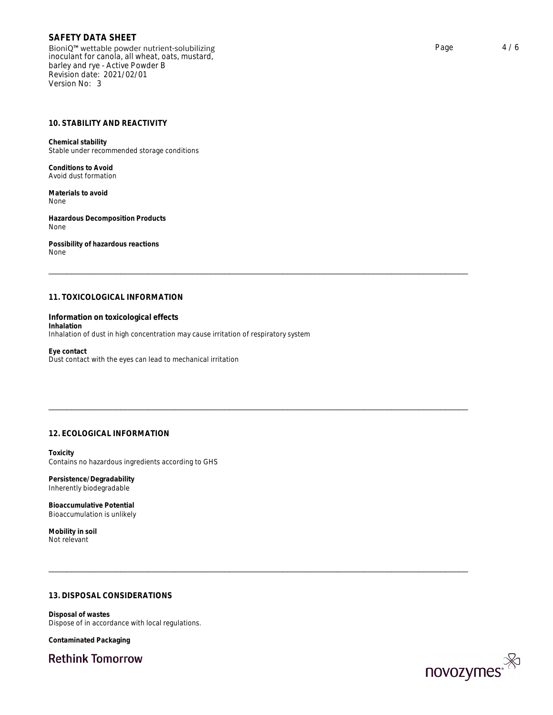BioniQ™ wettable powder nutrient-solubilizing inoculant for canola, all wheat, oats, mustard, barley and rye - Active Powder B Revision date: 2021/02/01 Version No: 3

### **10. STABILITY AND REACTIVITY**

**Chemical stability** Stable under recommended storage conditions

**Conditions to Avoid** Avoid dust formation

**Materials to avoid** None

**Hazardous Decomposition Products** None

**Possibility of hazardous reactions** None

And dust formation<br>
Materials to avoid<br>
Materials to avoid<br>
Materials to avoid<br>
Mone<br>
Hazardous Decomposition Products<br>
None<br>
Mone<br>
Internation on toxicological effects<br>
Inhalation<br>
Information on toxicological effects<br>
In **Information on toxicological effects Inhalation** Inhalation of dust in high concentration may cause irritation of respiratory system Information on toxicological effects<br>Inhalation<br>Inhalation<br>Eye contact<br>Eye contact<br>With the eyes can lead to mechanical irritation<br>Dust contact with the eyes can lead to mechanical irritation<br>Toxicity<br>12. ECOLOGICAL INFORM

**Eye contact** Dust contact with the eyes can lead to mechanical irritation

**Toxicity**  Contains no hazardous ingredients according to GHS

**Persistence/Degradability**  Inherently biodegradable

**Bioaccumulative Potential**  Bioaccumulation is unlikely

**Mobility in soil** Not relevant

Persistence/Degradability<br>Inherently biodegradable<br>Bioaccumulation is unlikely<br>Bioaccumulation is unlikely<br>Mobility in soil<br>Not relevant<br>13. DISPOSAL CONSIDERATIONS<br>Disposal of wastes<br>Disposal of wastes **Disposal of wastes** Dispose of in accordance with local regulations.

**Contaminated Packaging**

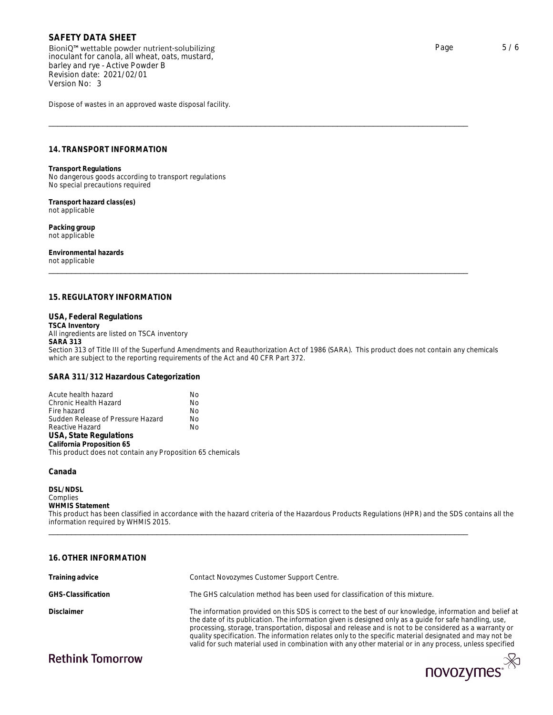BioniQ™ wettable powder nutrient-solubilizing inoculant for canola, all wheat, oats, mustard, barley and rye - Active Powder B Revision date: 2021/02/01 Version No: 3  $\begin{tabular}{lllllllll} \textsf{SAFETY DATA SHEET} \\\textsf{BioniQ}^{\textrm{m}} \text{wettable powder nutrient-solubilizing} \\\textsf{inocular for canola, all wheat, oats, mustard, \\\textsf{barly and re_ye. Active Power B} \\\textsf{Revision adre. } 2021/02/01 \\\textsf{Revision andre. } 3 \\\textsf{Dispose of wastes in an approved waste disposal facility. \end{tabular} \\\ \begin{tabular}{lllllllll} \textsf{Dispose of wastes in an approved waste disposal facility.} \\\ \textsf{ThisToRNSPORT INFORMATION} \\\textsf{Transport Requirements} \\\textsf{No dangerous goods according to transport regulations} \\\text$ 

Dispose of wastes in an approved waste disposal facility.

**Transport Regulations** No dangerous goods according to transport regulations No special precautions required

**Transport hazard class(es)** not applicable

**Packing group** not applicable

**Environmental hazards** not applicable

riansport regulations<br>No dangerous goods according to transport regulations<br>No special precautions required<br>ont applicable<br>pracking group<br>not applicable<br>for the special research and applicable<br>ont applicable<br>ont applicable **USA, Federal Regulations TSCA Inventory** All ingredients are listed on TSCA inventory **SARA 313** Section 313 of Title III of the Superfund Amendments and Reauthorization Act of 1986 (SARA). This product does not contain any chemicals which are subject to the reporting requirements of the Act and 40 CFR Part 372.

### **SARA 311/312 Hazardous Categorization**

| Acute health hazard                                        | Nο |  |
|------------------------------------------------------------|----|--|
| Chronic Health Hazard                                      | No |  |
| Fire hazard                                                | No |  |
| Sudden Release of Pressure Hazard                          | No |  |
| Reactive Hazard                                            | No |  |
| USA, State Regulations                                     |    |  |
| California Proposition 65                                  |    |  |
| This product does not contain any Proposition 65 chemicals |    |  |
|                                                            |    |  |

### **Canada**

**DSL/NDSL** Complies **WHMIS Statement** This product has been classified in accordance with the hazard criteria of the Hazardous Products Regulations (HPR) and the SDS contains all the information required by WHMIS 2015. USA, State Regulations<br>California Proposition 65<br>This product does not contain any Proposition 65 chemicals<br>Canada<br>WHMIS Statement<br>Complies<br>This product has been classified in accordance with the hazard criteria of the Haz

| Training advice    | Contact Novozymes Customer Support Centre.                                                                                                                                                                                                                                                                                                                                                                                                                                                                                                       |
|--------------------|--------------------------------------------------------------------------------------------------------------------------------------------------------------------------------------------------------------------------------------------------------------------------------------------------------------------------------------------------------------------------------------------------------------------------------------------------------------------------------------------------------------------------------------------------|
| GHS-Classification | The GHS calculation method has been used for classification of this mixture.                                                                                                                                                                                                                                                                                                                                                                                                                                                                     |
| Disclaimer         | The information provided on this SDS is correct to the best of our knowledge, information and belief at<br>the date of its publication. The information given is designed only as a quide for safe handling, use,<br>processing, storage, transportation, disposal and release and is not to be considered as a warranty or<br>quality specification. The information relates only to the specific material designated and may not be<br>valid for such material used in combination with any other material or in any process, unless specified |